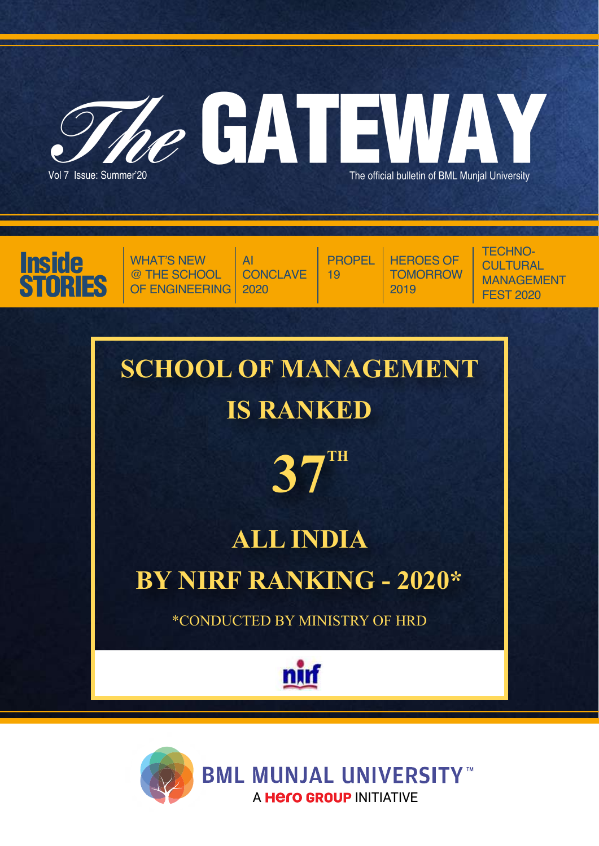

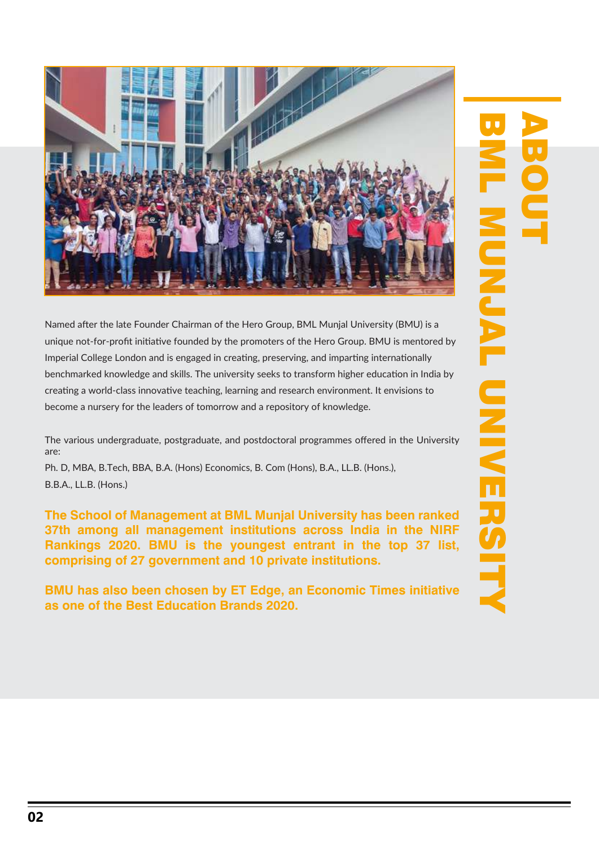

Named after the late Founder Chairman of the Hero Group, BML Munjal University (BMU) is a unique not-for-profit initiative founded by the promoters of the Hero Group. BMU is mentored by Imperial College London and is engaged in creating, preserving, and imparting internationally benchmarked knowledge and skills. The university seeks to transform higher education in India by creating a world-class innovative teaching, learning and research environment. It envisions to become a nursery for the leaders of tomorrow and a repository of knowledge.

The various undergraduate, postgraduate, and postdoctoral programmes offered in the University are:

Ph. D, MBA, B.Tech, BBA, B.A. (Hons) Economics, B. Com (Hons), B.A., LL.B. (Hons.), B.B.A., LL.B. (Hons.)

**The School of Management at BML Munjal University has been ranked 37th among all management institutions across India in the NIRF Rankings 2020. BMU is the youngest entrant in the top 37 list, comprising of 27 government and 10 private institutions.** 

**BMU has also been chosen by ET Edge, an Economic Times initiative as one of the Best Education Brands 2020.**

# ABOUT BML MUNDAY MUNDAY SHARRIST MUNAWANG MERSERIA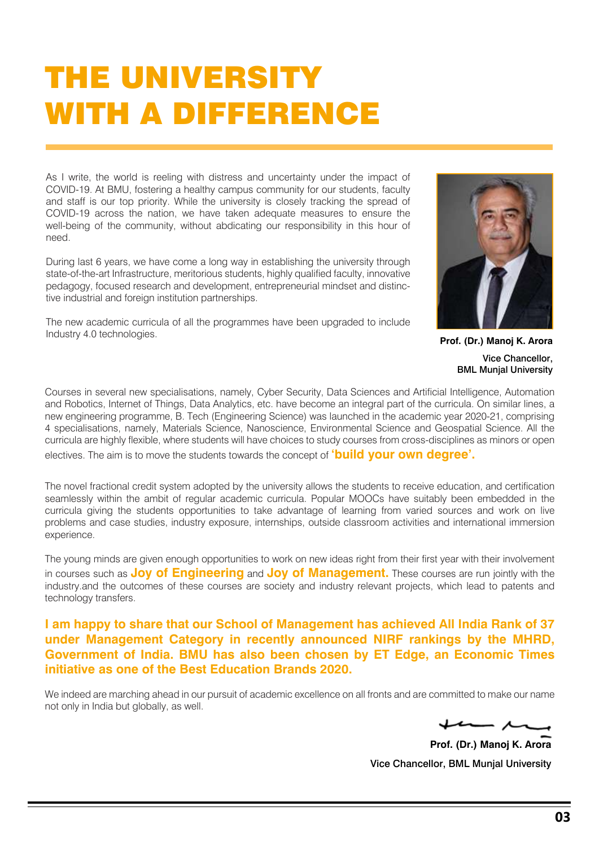### THE UNIVERSITY WITH A DIFFERENCE

As I write, the world is reeling with distress and uncertainty under the impact of COVID-19. At BMU, fostering a healthy campus community for our students, faculty and staff is our top priority. While the university is closely tracking the spread of COVID-19 across the nation, we have taken adequate measures to ensure the well-being of the community, without abdicating our responsibility in this hour of need.

During last 6 years, we have come a long way in establishing the university through state-of-the-art Infrastructure, meritorious students, highly qualified faculty, innovative pedagogy, focused research and development, entrepreneurial mindset and distinctive industrial and foreign institution partnerships.

The new academic curricula of all the programmes have been upgraded to include Industry 4.0 technologies. **Prof. (Dr.) Manoj K. Arora** 



Vice Chancellor, BML Munjal University

Courses in several new specialisations, namely, Cyber Security, Data Sciences and Artificial Intelligence, Automation and Robotics, Internet of Things, Data Analytics, etc. have become an integral part of the curricula. On similar lines, a new engineering programme, B. Tech (Engineering Science) was launched in the academic year 2020-21, comprising 4 specialisations, namely, Materials Science, Nanoscience, Environmental Science and Geospatial Science. All the curricula are highly flexible, where students will have choices to study courses from cross-disciplines as minors or open electives. The aim is to move the students towards the concept of **'build your own degree'.**

The novel fractional credit system adopted by the university allows the students to receive education, and certification seamlessly within the ambit of regular academic curricula. Popular MOOCs have suitably been embedded in the curricula giving the students opportunities to take advantage of learning from varied sources and work on live problems and case studies, industry exposure, internships, outside classroom activities and international immersion experience.

The young minds are given enough opportunities to work on new ideas right from their first year with their involvement in courses such as **Joy of Engineering** and **Joy of Management.** These courses are run jointly with the industry.and the outcomes of these courses are society and industry relevant projects, which lead to patents and technology transfers.

**I am happy to share that our School of Management has achieved All India Rank of 37 under Management Category in recently announced NIRF rankings by the MHRD, Government of India. BMU has also been chosen by ET Edge, an Economic Times initiative as one of the Best Education Brands 2020.**

We indeed are marching ahead in our pursuit of academic excellence on all fronts and are committed to make our name not only in India but globally, as well.

**Prof. (Dr.) Manoj K. Arora** Vice Chancellor, BML Munjal University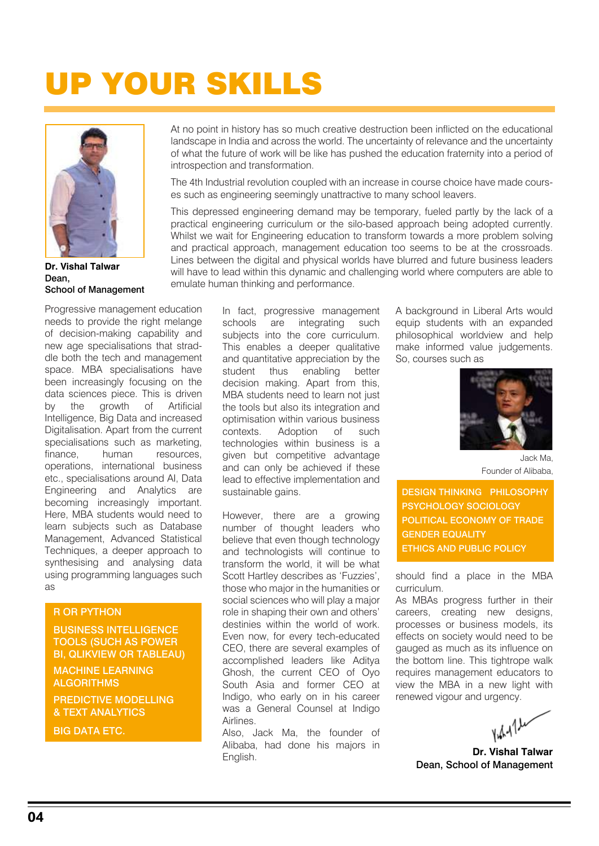# UP YOUR SKILLS



Dean, School of Management **Dr. Vishal Talwar**

Progressive management education needs to provide the right melange of decision-making capability and new age specialisations that straddle both the tech and management space. MBA specialisations have been increasingly focusing on the data sciences piece. This is driven by the growth of Artificial Intelligence, Big Data and increased Digitalisation. Apart from the current specialisations such as marketing, finance, human resources, operations, international business etc., specialisations around AI, Data Engineering and Analytics are becoming increasingly important. Here, MBA students would need to learn subjects such as Database Management, Advanced Statistical Techniques, a deeper approach to synthesising and analysing data using programming languages such as

#### R OR PYTHON

BUSINESS INTELLIGENCE TOOLS (SUCH AS POWER BI, QLIKVIEW OR TABLEAU)

MACHINE LEARNING **ALGORITHMS** 

PREDICTIVE MODELLING & TEXT ANALYTICS

BIG DATA ETC.

At no point in history has so much creative destruction been inflicted on the educational landscape in India and across the world. The uncertainty of relevance and the uncertainty of what the future of work will be like has pushed the education fraternity into a period of introspection and transformation.

The 4th Industrial revolution coupled with an increase in course choice have made courses such as engineering seemingly unattractive to many school leavers.

This depressed engineering demand may be temporary, fueled partly by the lack of a practical engineering curriculum or the silo-based approach being adopted currently. Whilst we wait for Engineering education to transform towards a more problem solving and practical approach, management education too seems to be at the crossroads. Lines between the digital and physical worlds have blurred and future business leaders will have to lead within this dynamic and challenging world where computers are able to emulate human thinking and performance.

> In fact, progressive management schools are integrating such subjects into the core curriculum. This enables a deeper qualitative and quantitative appreciation by the student thus enabling better decision making. Apart from this, MBA students need to learn not just the tools but also its integration and optimisation within various business contexts. Adoption of such technologies within business is a given but competitive advantage and can only be achieved if these lead to effective implementation and sustainable gains.

> However, there are a growing number of thought leaders who believe that even though technology and technologists will continue to transform the world, it will be what Scott Hartley describes as 'Fuzzies', those who major in the humanities or social sciences who will play a major role in shaping their own and others' destinies within the world of work. Even now, for every tech-educated CEO, there are several examples of accomplished leaders like Aditya Ghosh, the current CEO of Oyo South Asia and former CEO at Indigo, who early on in his career was a General Counsel at Indigo Airlines.

Also, Jack Ma, the founder of Alibaba, had done his majors in English.

A background in Liberal Arts would equip students with an expanded philosophical worldview and help make informed value judgements. So, courses such as



Jack Ma, Founder of Alibaba,

DESIGN THINKING PHILOSOPHY PSYCHOLOGY SOCIOLOGY POLITICAL ECONOMY OF TRADE GENDER EQUALITY ETHICS AND PUBLIC POLICY

should find a place in the MBA curriculum.

As MBAs progress further in their careers, creating new designs, processes or business models, its effects on society would need to be gauged as much as its influence on the bottom line. This tightrope walk requires management educators to view the MBA in a new light with renewed vigour and urgency.

 $YdA1L$ 

Dean, School of Management **Dr. Vishal Talwar**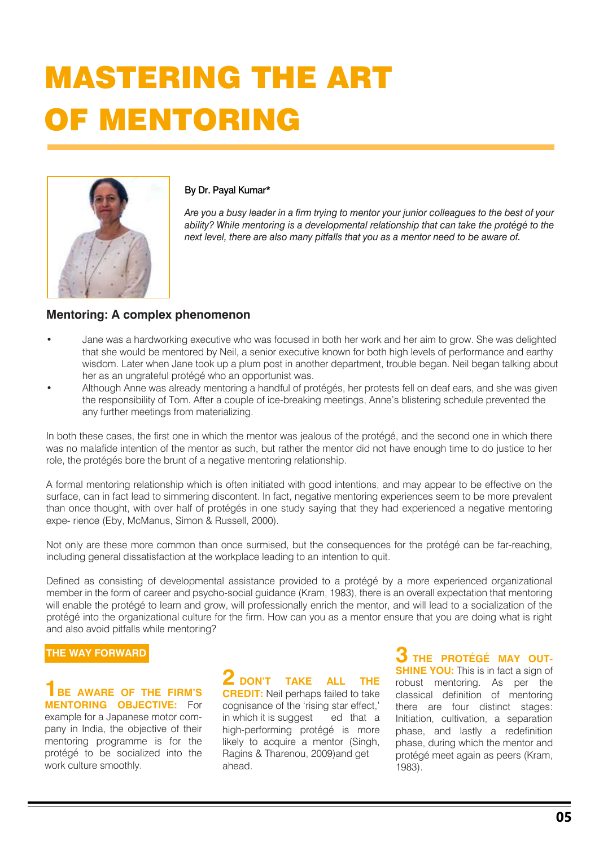# MASTERING THE ART OF MENTORING



#### By Dr. Payal Kumar\*

*Are you a busy leader in a firm trying to mentor your junior colleagues to the best of your ability? While mentoring is a developmental relationship that can take the protégé to the next level, there are also many pitfalls that you as a mentor need to be aware of.*

### **Mentoring: A complex phenomenon**

- Jane was a hardworking executive who was focused in both her work and her aim to grow. She was delighted that she would be mentored by Neil, a senior executive known for both high levels of performance and earthy wisdom. Later when Jane took up a plum post in another department, trouble began. Neil began talking about her as an ungrateful protégé who an opportunist was.
- Although Anne was already mentoring a handful of protégés, her protests fell on deaf ears, and she was given the responsibility of Tom. After a couple of ice-breaking meetings, Anne's blistering schedule prevented the any further meetings from materializing.

In both these cases, the first one in which the mentor was jealous of the protégé, and the second one in which there was no malafide intention of the mentor as such, but rather the mentor did not have enough time to do justice to her role, the protégés bore the brunt of a negative mentoring relationship.

A formal mentoring relationship which is often initiated with good intentions, and may appear to be effective on the surface, can in fact lead to simmering discontent. In fact, negative mentoring experiences seem to be more prevalent than once thought, with over half of protégés in one study saying that they had experienced a negative mentoring expe- rience (Eby, McManus, Simon & Russell, 2000).

Not only are these more common than once surmised, but the consequences for the protégé can be far-reaching, including general dissatisfaction at the workplace leading to an intention to quit.

Defined as consisting of developmental assistance provided to a protégé by a more experienced organizational member in the form of career and psycho-social guidance (Kram, 1983), there is an overall expectation that mentoring will enable the protégé to learn and grow, will professionally enrich the mentor, and will lead to a socialization of the protégé into the organizational culture for the firm. How can you as a mentor ensure that you are doing what is right and also avoid pitfalls while mentoring?

#### **THE WAY FORWARD**

**1BE AWARE OF THE FIRM'S MENTORING OBJECTIVE:** For example for a Japanese motor company in India, the objective of their mentoring programme is for the protégé to be socialized into the work culture smoothly.

**2 DON'T TAKE ALL THE CREDIT:** Neil perhaps failed to take cognisance of the 'rising star effect,' in which it is suggest ed that a high-performing protégé is more likely to acquire a mentor (Singh, Ragins & Tharenou, 2009)and get ahead.

**3 THE PROTÉGÉ MAY OUT-SHINE YOU:** This is in fact a sign of robust mentoring. As per the classical definition of mentoring there are four distinct stages: Initiation, cultivation, a separation phase, and lastly a redefinition phase, during which the mentor and protégé meet again as peers (Kram, 1983).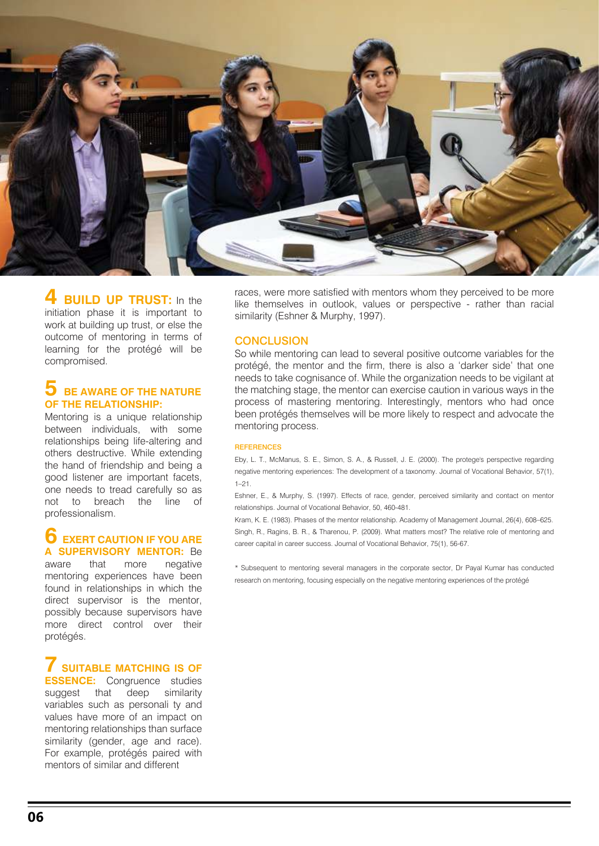

#### **BUILD UP TRUST:** In the initiation phase it is important to work at building up trust, or else the outcome of mentoring in terms of learning for the protégé will be compromised.

#### **5 BE AWARE OF THE NATURE OF THE RELATIONSHIP:**

Mentoring is a unique relationship between individuals, with some relationships being life-altering and others destructive. While extending the hand of friendship and being a good listener are important facets, one needs to tread carefully so as not to breach the line of professionalism.

### **6 EXERT CAUTION IF YOU ARE A SUPERVISORY MENTOR:** Be

aware that more negative mentoring experiences have been found in relationships in which the direct supervisor is the mentor, possibly because supervisors have more direct control over their protégés.

### **7 SUITABLE MATCHING IS OF ESSENCE:** Congruence studies

suggest that deep similarity variables such as personali ty and values have more of an impact on mentoring relationships than surface similarity (gender, age and race). For example, protégés paired with mentors of similar and different

races, were more satisfied with mentors whom they perceived to be more like themselves in outlook, values or perspective - rather than racial similarity (Eshner & Murphy, 1997).

#### **CONCLUSION**

So while mentoring can lead to several positive outcome variables for the protégé, the mentor and the firm, there is also a 'darker side' that one needs to take cognisance of. While the organization needs to be vigilant at the matching stage, the mentor can exercise caution in various ways in the process of mastering mentoring. Interestingly, mentors who had once been protégés themselves will be more likely to respect and advocate the mentoring process.

#### REFERENCES

Eby, L. T., McManus, S. E., Simon, S. A., & Russell, J. E. (2000). The protege's perspective regarding negative mentoring experiences: The development of a taxonomy. Journal of Vocational Behavior, 57(1), 1–21.

Eshner, E., & Murphy, S. (1997). Effects of race, gender, perceived similarity and contact on mentor relationships. Journal of Vocational Behavior, 50, 460-481.

Kram, K. E. (1983). Phases of the mentor relationship. Academy of Management Journal, 26(4), 608–625. Singh, R., Ragins, B. R., & Tharenou, P. (2009). What matters most? The relative role of mentoring and career capital in career success. Journal of Vocational Behavior, 75(1), 56-67.

\* Subsequent to mentoring several managers in the corporate sector, Dr Payal Kumar has conducted research on mentoring, focusing especially on the negative mentoring experiences of the protégé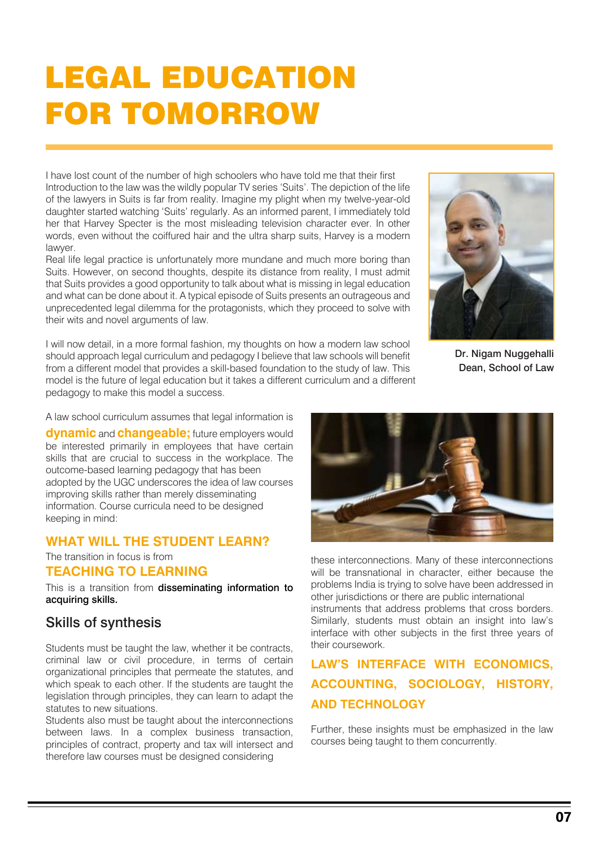### LEGAL EDUCATION FOR TOMORROW

I have lost count of the number of high schoolers who have told me that their first Introduction to the law was the wildly popular TV series 'Suits'. The depiction of the life of the lawyers in Suits is far from reality. Imagine my plight when my twelve-year-old daughter started watching 'Suits' regularly. As an informed parent, I immediately told her that Harvey Specter is the most misleading television character ever. In other words, even without the coiffured hair and the ultra sharp suits, Harvey is a modern lawyer.

Real life legal practice is unfortunately more mundane and much more boring than Suits. However, on second thoughts, despite its distance from reality, I must admit that Suits provides a good opportunity to talk about what is missing in legal education and what can be done about it. A typical episode of Suits presents an outrageous and unprecedented legal dilemma for the protagonists, which they proceed to solve with their wits and novel arguments of law.

I will now detail, in a more formal fashion, my thoughts on how a modern law school should approach legal curriculum and pedagogy I believe that law schools will benefit from a different model that provides a skill-based foundation to the study of law. This model is the future of legal education but it takes a different curriculum and a different pedagogy to make this model a success.



Dr. Nigam Nuggehalli Dean, School of Law

A law school curriculum assumes that legal information is

**dynamic** and **changeable;** future employers would be interested primarily in employees that have certain skills that are crucial to success in the workplace. The outcome-based learning pedagogy that has been adopted by the UGC underscores the idea of law courses improving skills rather than merely disseminating information. Course curricula need to be designed keeping in mind:

### **WHAT WILL THE STUDENT LEARN?**

The transition in focus is from

### **TEACHING TO LEARNING**

This is a transition from disseminating information to acquiring skills.

### Skills of synthesis

Students must be taught the law, whether it be contracts, criminal law or civil procedure, in terms of certain organizational principles that permeate the statutes, and which speak to each other. If the students are taught the legislation through principles, they can learn to adapt the statutes to new situations.

Students also must be taught about the interconnections between laws. In a complex business transaction, principles of contract, property and tax will intersect and therefore law courses must be designed considering



these interconnections. Many of these interconnections will be transnational in character, either because the problems India is trying to solve have been addressed in other jurisdictions or there are public international instruments that address problems that cross borders. Similarly, students must obtain an insight into law's interface with other subjects in the first three years of their coursework.

### **LAW'S INTERFACE WITH ECONOMICS, ACCOUNTING, SOCIOLOGY, HISTORY, AND TECHNOLOGY**

Further, these insights must be emphasized in the law courses being taught to them concurrently.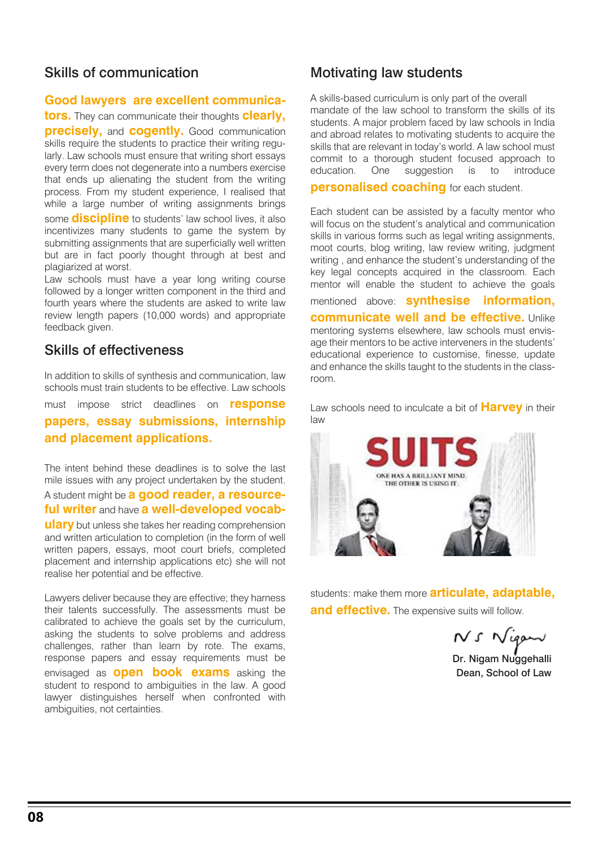### Skills of communication

#### **Good lawyers are excellent communica-**

**tors.** They can communicate their thoughts **clearly, precisely, and cogently.** Good communication skills require the students to practice their writing regularly. Law schools must ensure that writing short essays every term does not degenerate into a numbers exercise that ends up alienating the student from the writing process. From my student experience, I realised that while a large number of writing assignments brings some **discipline** to students' law school lives, it also incentivizes many students to game the system by submitting assignments that are superficially well written but are in fact poorly thought through at best and plagiarized at worst.

Law schools must have a year long writing course followed by a longer written component in the third and fourth years where the students are asked to write law review length papers (10,000 words) and appropriate feedback given.

### Skills of effectiveness

In addition to skills of synthesis and communication, law schools must train students to be effective. Law schools

must impose strict deadlines on **response papers, essay submissions, internship and placement applications.** 

The intent behind these deadlines is to solve the last mile issues with any project undertaken by the student.

A student might be **a good reader, a resourceful writer** and have **a well-developed vocab-**

**ulary** but unless she takes her reading comprehension and written articulation to completion (in the form of well written papers, essays, moot court briefs, completed placement and internship applications etc) she will not realise her potential and be effective.

Lawyers deliver because they are effective; they harness their talents successfully. The assessments must be calibrated to achieve the goals set by the curriculum, asking the students to solve problems and address challenges, rather than learn by rote. The exams, response papers and essay requirements must be envisaged as **open book exams** asking the student to respond to ambiguities in the law. A good lawyer distinguishes herself when confronted with ambiguities, not certainties.

### Motivating law students

A skills-based curriculum is only part of the overall mandate of the law school to transform the skills of its students. A major problem faced by law schools in India and abroad relates to motivating students to acquire the skills that are relevant in today's world. A law school must commit to a thorough student focused approach to education. One suggestion is to introduce

**personalised coaching** for each student.

Each student can be assisted by a faculty mentor who will focus on the student's analytical and communication skills in various forms such as legal writing assignments, moot courts, blog writing, law review writing, judgment writing , and enhance the student's understanding of the key legal concepts acquired in the classroom. Each mentor will enable the student to achieve the goals

mentioned above: **synthesise information, communicate well and be effective.** Unlike mentoring systems elsewhere, law schools must envisage their mentors to be active interveners in the students' educational experience to customise, finesse, update and enhance the skills taught to the students in the classroom.

Law schools need to inculcate a bit of **Harvey** in their law



students: make them more **articulate, adaptable, and effective.** The expensive suits will follow.

NS Nigan

Dr. Nigam Nuggehalli Dean, School of Law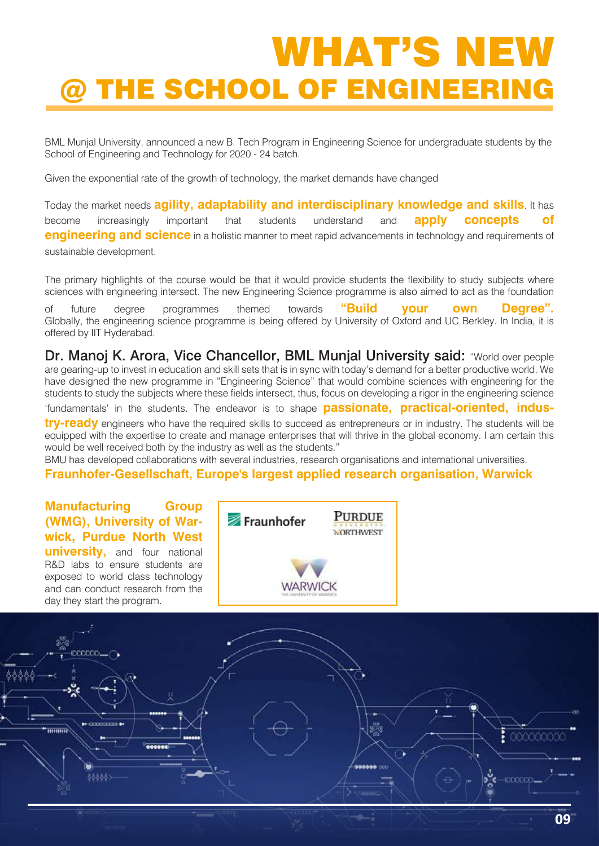# WHAT'S NEW @ THE SCHOOL OF ENGINEERING

BML Munjal University, announced a new B. Tech Program in Engineering Science for undergraduate students by the School of Engineering and Technology for 2020 - 24 batch.

Given the exponential rate of the growth of technology, the market demands have changed

Today the market needs **agility, adaptability and interdisciplinary knowledge and skills**. It has become increasingly important that students understand and **apply concepts of engineering and science** in a holistic manner to meet rapid advancements in technology and requirements of sustainable development.

The primary highlights of the course would be that it would provide students the flexibility to study subjects where sciences with engineering intersect. The new Engineering Science programme is also aimed to act as the foundation

of future degree programmes themed towards **"Build your own Degree".** Globally, the engineering science programme is being offered by University of Oxford and UC Berkley. In India, it is offered by IIT Hyderabad.

Dr. Manoj K. Arora, Vice Chancellor, BML Munjal University said: "World over people are gearing-up to invest in education and skill sets that is in sync with today's demand for a better productive world. We have designed the new programme in "Engineering Science" that would combine sciences with engineering for the students to study the subjects where these fields intersect, thus, focus on developing a rigor in the engineering science

'fundamentals' in the students. The endeavor is to shape **passionate, practical-oriented, indus-**

**try-ready** engineers who have the required skills to succeed as entrepreneurs or in industry. The students will be equipped with the expertise to create and manage enterprises that will thrive in the global economy. I am certain this would be well received both by the industry as well as the students."

BMU has developed collaborations with several industries, research organisations and international universities.

#### **Fraunhofer-Gesellschaft, Europe's largest applied research organisation, Warwick**





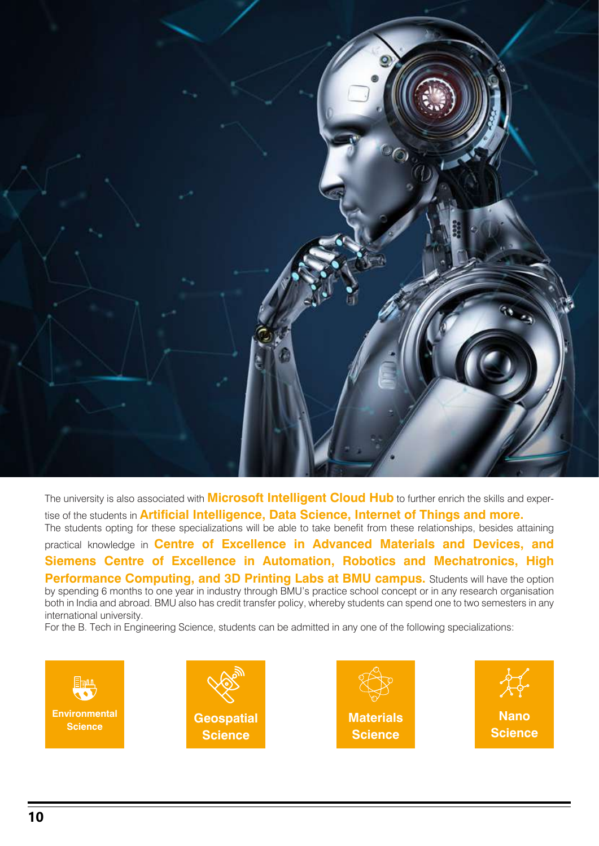

The university is also associated with **Microsoft Intelligent Cloud Hub** to further enrich the skills and expertise of the students in **Artificial Intelligence, Data Science, Internet of Things and more.**

The students opting for these specializations will be able to take benefit from these relationships, besides attaining practical knowledge in **Centre of Excellence in Advanced Materials and Devices, and Siemens Centre of Excellence in Automation, Robotics and Mechatronics, High Performance Computing, and 3D Printing Labs at BMU campus.** Students will have the option by spending 6 months to one year in industry through BMU's practice school concept or in any research organisation both in India and abroad. BMU also has credit transfer policy, whereby students can spend one to two semesters in any international university.

For the B. Tech in Engineering Science, students can be admitted in any one of the following specializations:

**Environmental**





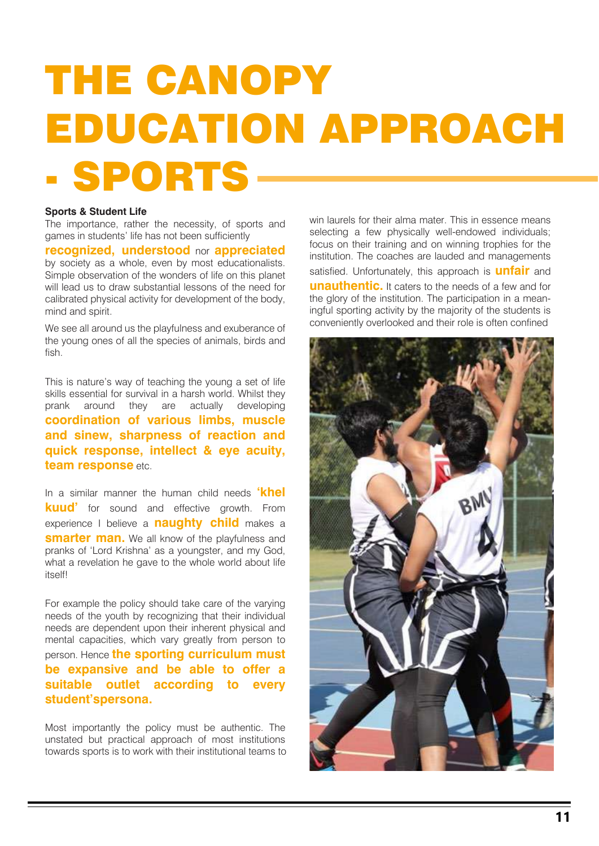# THE CANOPY EDUCATION APPROACH - SPORTS

#### **Sports & Student Life**

The importance, rather the necessity, of sports and games in students' life has not been sufficiently

**recognized, understood** nor **appreciated** by society as a whole, even by most educationalists. Simple observation of the wonders of life on this planet will lead us to draw substantial lessons of the need for calibrated physical activity for development of the body, mind and spirit.

We see all around us the playfulness and exuberance of the young ones of all the species of animals, birds and fish.

This is nature's way of teaching the young a set of life skills essential for survival in a harsh world. Whilst they prank around they are actually developing **coordination of various limbs, muscle and sinew, sharpness of reaction and quick response, intellect & eye acuity, team response** etc.

In a similar manner the human child needs **'khel kuud'** for sound and effective growth. From experience I believe a **naughty child** makes a **smarter man.** We all know of the playfulness and pranks of 'Lord Krishna' as a youngster, and my God, what a revelation he gave to the whole world about life itself!

For example the policy should take care of the varying needs of the youth by recognizing that their individual needs are dependent upon their inherent physical and mental capacities, which vary greatly from person to person. Hence **the sporting curriculum must be expansive and be able to offer a suitable outlet according to every student'spersona.**

Most importantly the policy must be authentic. The unstated but practical approach of most institutions towards sports is to work with their institutional teams to win laurels for their alma mater. This in essence means selecting a few physically well-endowed individuals; focus on their training and on winning trophies for the institution. The coaches are lauded and managements satisfied. Unfortunately, this approach is **unfair** and **unauthentic.** It caters to the needs of a few and for the glory of the institution. The participation in a meaningful sporting activity by the majority of the students is conveniently overlooked and their role is often confined

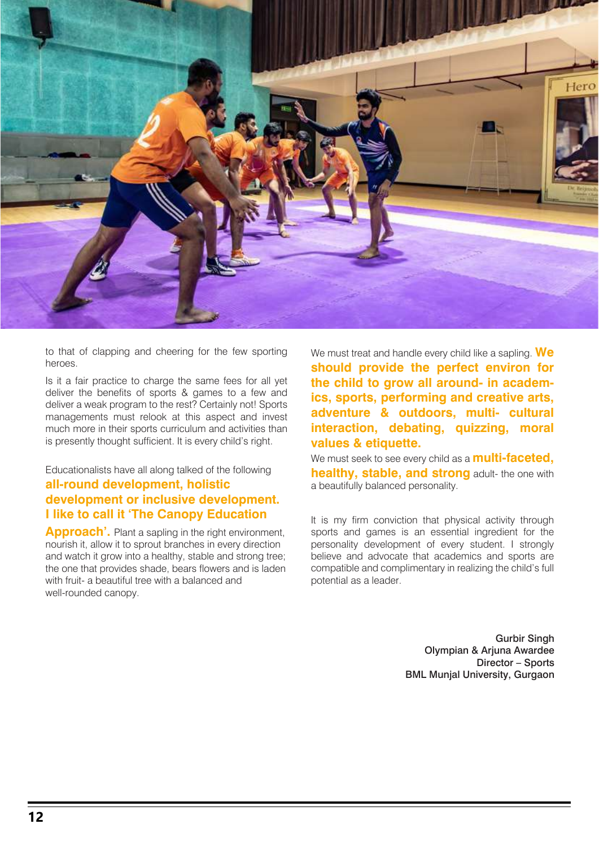

to that of clapping and cheering for the few sporting heroes.

Is it a fair practice to charge the same fees for all yet deliver the benefits of sports & games to a few and deliver a weak program to the rest? Certainly not! Sports managements must relook at this aspect and invest much more in their sports curriculum and activities than is presently thought sufficient. It is every child's right.

### Educationalists have all along talked of the following **all-round development, holistic development or inclusive development. I like to call it 'The Canopy Education**

**Approach'.** Plant a sapling in the right environment, nourish it, allow it to sprout branches in every direction and watch it grow into a healthy, stable and strong tree; the one that provides shade, bears flowers and is laden with fruit- a beautiful tree with a balanced and well-rounded canopy.

We must treat and handle every child like a sapling. **We should provide the perfect environ for the child to grow all around- in academics, sports, performing and creative arts, adventure & outdoors, multi- cultural interaction, debating, quizzing, moral values & etiquette.**

We must seek to see every child as a **multi-faceted, healthy, stable, and strong** adult- the one with a beautifully balanced personality.

It is my firm conviction that physical activity through sports and games is an essential ingredient for the personality development of every student. I strongly believe and advocate that academics and sports are compatible and complimentary in realizing the child's full potential as a leader.

> Gurbir Singh Olympian & Arjuna Awardee Director – Sports BML Munjal University, Gurgaon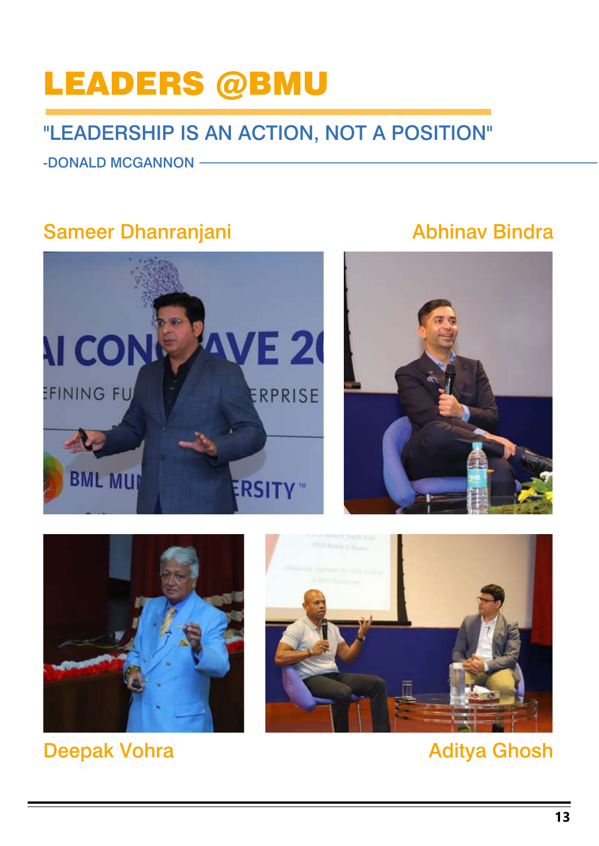### LEADERS @BMU

### "LEADERSHIP IS AN ACTION, NOT A POSITION"

-DONALD MCGANNON

### Sameer Dhanranjani

### Abhinav Bindra





Deepak Vohra



### Aditya Ghosh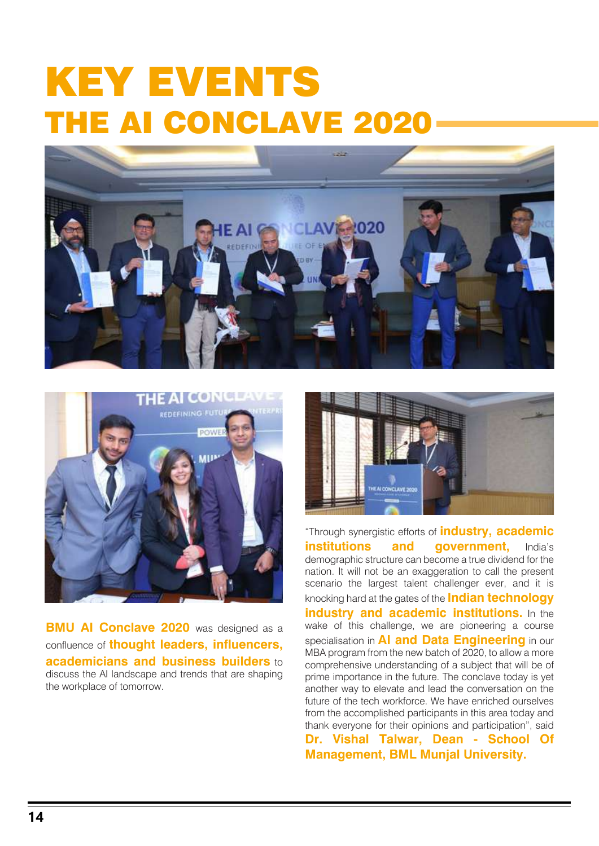# KEY EVENTS THE AI CONCLAVE 2020





**BMU AI Conclave 2020** was designed as a confluence of **thought leaders, influencers, academicians and business builders** to discuss the AI landscape and trends that are shaping the workplace of tomorrow.



"Through synergistic efforts of **industry, academic institutions and government.** India's demographic structure can become a true dividend for the nation. It will not be an exaggeration to call the present scenario the largest talent challenger ever, and it is knocking hard at the gates of the **Indian technology industry and academic institutions.** In the wake of this challenge, we are pioneering a course specialisation in **AI and Data Engineering** in our MBA program from the new batch of 2020, to allow a more comprehensive understanding of a subject that will be of prime importance in the future. The conclave today is yet another way to elevate and lead the conversation on the future of the tech workforce. We have enriched ourselves from the accomplished participants in this area today and thank everyone for their opinions and participation", said

**Dr. Vishal Talwar, Dean - School Of Management, BML Munjal University.**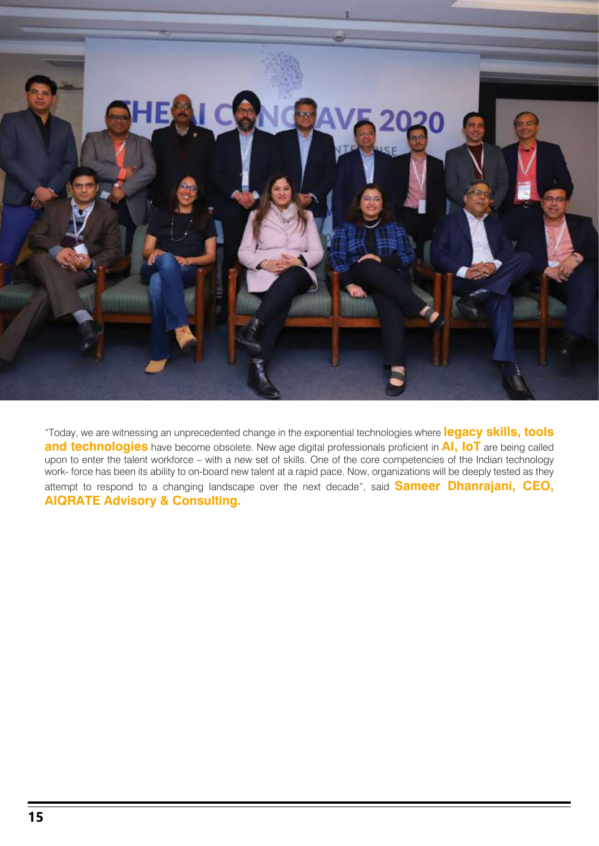

"Today, we are witnessing an unprecedented change in the exponential technologies where **legacy skills, tools and technologies** have become obsolete. New age digital professionals proficient in **AI, IoT** are being called upon to enter the talent workforce – with a new set of skills. One of the core competencies of the Indian technology work- force has been its ability to on-board new talent at a rapid pace. Now, organizations will be deeply tested as they attempt to respond to a changing landscape over the next decade", said **Sameer Dhanrajani, CEO, AIQRATE Advisory & Consulting.**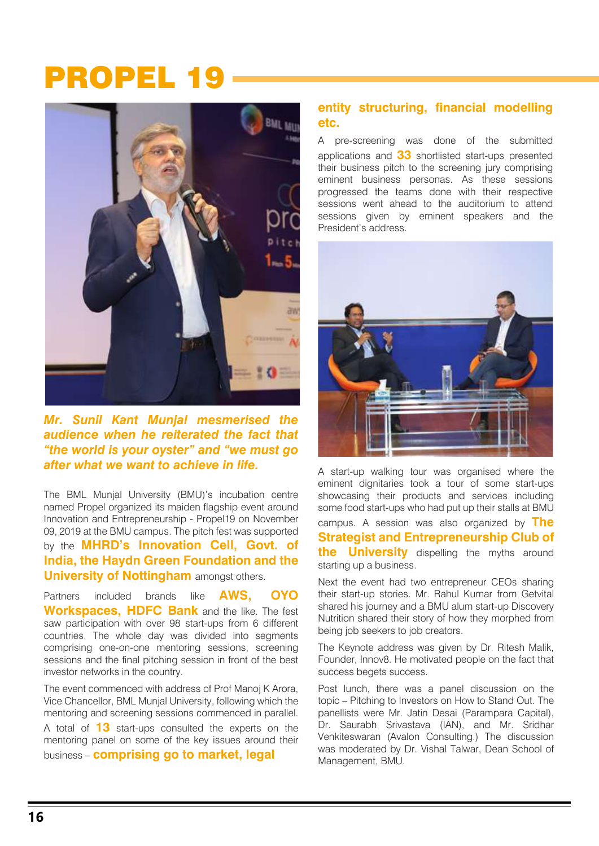### PROPEL 19



*Mr. Sunil Kant Munjal mesmerised the audience when he reiterated the fact that "the world is your oyster" and "we must go after what we want to achieve in life.*

The BML Munjal University (BMU)'s incubation centre named Propel organized its maiden flagship event around Innovation and Entrepreneurship - Propel19 on November 09, 2019 at the BMU campus. The pitch fest was supported by the **MHRD's Innovation Cell, Govt. of India, the Haydn Green Foundation and the University of Nottingham** amongst others.

Partners included brands like **AWS, OYO Workspaces, HDFC Bank** and the like. The fest saw participation with over 98 start-ups from 6 different countries. The whole day was divided into segments comprising one-on-one mentoring sessions, screening sessions and the final pitching session in front of the best investor networks in the country.

The event commenced with address of Prof Manoj K Arora, Vice Chancellor, BML Munjal University, following which the mentoring and screening sessions commenced in parallel.

A total of **13** start-ups consulted the experts on the mentoring panel on some of the key issues around their business – **comprising go to market, legal** 

### **entity structuring, financial modelling etc.**

A pre-screening was done of the submitted applications and **33** shortlisted start-ups presented their business pitch to the screening jury comprising eminent business personas. As these sessions progressed the teams done with their respective sessions went ahead to the auditorium to attend sessions given by eminent speakers and the President's address.



A start-up walking tour was organised where the eminent dignitaries took a tour of some start-ups showcasing their products and services including some food start-ups who had put up their stalls at BMU

campus. A session was also organized by **The Strategist and Entrepreneurship Club of the University** dispelling the myths around starting up a business.

Next the event had two entrepreneur CEOs sharing their start-up stories. Mr. Rahul Kumar from Getvital shared his journey and a BMU alum start-up Discovery Nutrition shared their story of how they morphed from being job seekers to job creators.

The Keynote address was given by Dr. Ritesh Malik, Founder, Innov8. He motivated people on the fact that success begets success.

Post lunch, there was a panel discussion on the topic – Pitching to Investors on How to Stand Out. The panellists were Mr. Jatin Desai (Parampara Capital), Dr. Saurabh Srivastava (IAN), and Mr. Sridhar Venkiteswaran (Avalon Consulting.) The discussion was moderated by Dr. Vishal Talwar, Dean School of Management, BMU.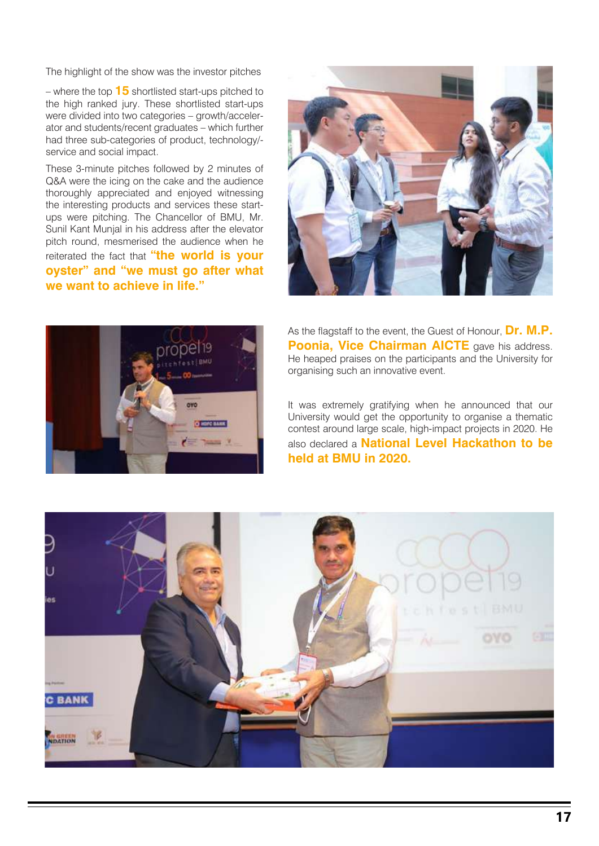The highlight of the show was the investor pitches<br>  $-$  where the top  $15$  shortlisted start-ups pitched to<br>
the bigh gradual inner  $\Gamma$ – where the top **15** shortlisted start-ups pitched to the high ranked jury. These shortlisted start-ups were divided into two categories – growth/accelerator and students/recent graduates – which further had three sub-categories of product, technology/ service and social impact.

These 3-minute pitches followed by 2 minutes of Q&A were the icing on the cake and the audience thoroughly appreciated and enjoyed witnessing the interesting products and services these startups were pitching. The Chancellor of BMU, Mr. Sunil Kant Munjal in his address after the elevator pitch round, mesmerised the audience when he reiterated the fact that **"the world is your oyster" and "we must go after what we want to achieve in life."**





As the flagstaff to the event, the Guest of Honour, **Dr. M.P. Poonia, Vice Chairman AICTE** gave his address. He heaped praises on the participants and the University for organising such an innovative event.

It was extremely gratifying when he announced that our University would get the opportunity to organise a thematic contest around large scale, high-impact projects in 2020. He also declared a **National Level Hackathon to be held at BMU in 2020.**

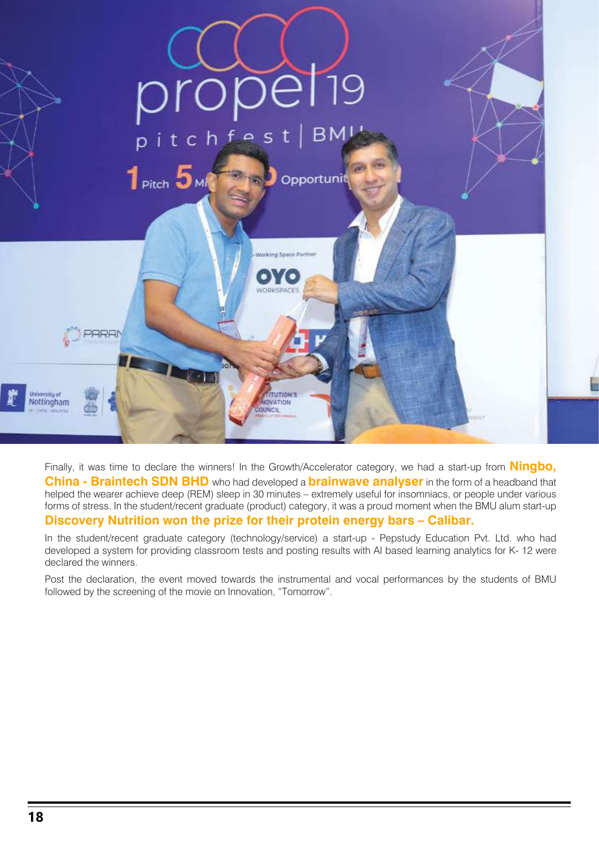

Finally, it was time to declare the winners! In the Growth/Accelerator category, we had a start-up from **Ningbo, China - Braintech SDN BHD** who had developed a **brainwave analyser** in the form of a headband that helped the wearer achieve deep (REM) sleep in 30 minutes – extremely useful for insomniacs, or people under various forms of stress. In the student/recent graduate (product) category, it was a proud moment when the BMU alum start-up **Discovery Nutrition won the prize for their protein energy bars – Calibar.** 

In the student/recent graduate category (technology/service) a start-up - Pepstudy Education Pvt. Ltd. who had developed a system for providing classroom tests and posting results with AI based learning analytics for K- 12 were declared the winners.

Post the declaration, the event moved towards the instrumental and vocal performances by the students of BMU followed by the screening of the movie on Innovation, "Tomorrow".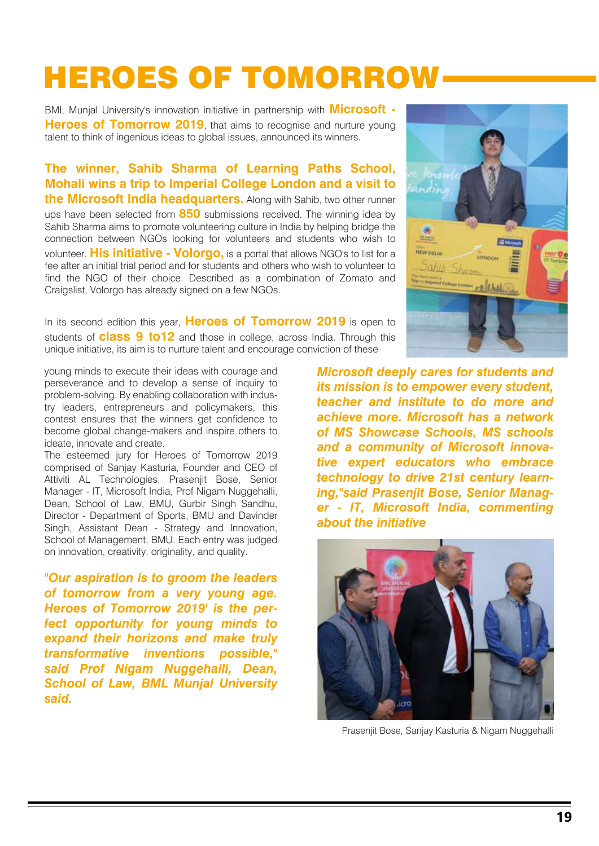### HEROES OF TOMORROW

BML Munjal University's innovation initiative in partnership with **Microsoft - Heroes of Tomorrow 2019**, that aims to recognise and nurture young talent to think of ingenious ideas to global issues, announced its winners.

**The winner, Sahib Sharma of Learning Paths School, Mohali wins a trip to Imperial College London and a visit to the Microsoft India headquarters.** Along with Sahib, two other runner ups have been selected from **850** submissions received. The winning idea by Sahib Sharma aims to promote volunteering culture in India by helping bridge the connection between NGOs looking for volunteers and students who wish to volunteer. **His initiative - Volorgo,** is a portal that allows NGO's to list for a fee after an initial trial period and for students and others who wish to volunteer to find the NGO of their choice. Described as a combination of Zomato and Craigslist, Volorgo has already signed on a few NGOs.

In its second edition this year, **Heroes of Tomorrow 2019** is open to students of **class 9 to12** and those in college, across India. Through this unique initiative, its aim is to nurture talent and encourage conviction of these

young minds to execute their ideas with courage and perseverance and to develop a sense of inquiry to problem-solving. By enabling collaboration with industry leaders, entrepreneurs and policymakers, this contest ensures that the winners get confidence to become global change-makers and inspire others to ideate, innovate and create.

The esteemed jury for Heroes of Tomorrow 2019 comprised of Sanjay Kasturia, Founder and CEO of Attiviti AL Technologies, Prasenjit Bose, Senior Manager - IT, Microsoft India, Prof Nigam Nuggehalli, Dean, School of Law, BMU, Gurbir Singh Sandhu, Director - Department of Sports, BMU and Davinder Singh, Assistant Dean - Strategy and Innovation, School of Management, BMU. Each entry was judged on innovation, creativity, originality, and quality.

*"Our aspiration is to groom the leaders of tomorrow from a very young age. Heroes of Tomorrow 2019' is the perfect opportunity for young minds to expand their horizons and make truly transformative inventions possible," said Prof Nigam Nuggehalli, Dean, School of Law, BML Munjal University said.*



*Microsoft deeply cares for students and its mission is to empower every student, teacher and institute to do more and achieve more. Microsoft has a network of MS Showcase Schools, MS schools and a community of Microsoft innovative expert educators who embrace technology to drive 21st century learning,"said Prasenjit Bose, Senior Manager - IT, Microsoft India, commenting about the initiative*



Prasenjit Bose, Sanjay Kasturia & Nigam Nuggehalli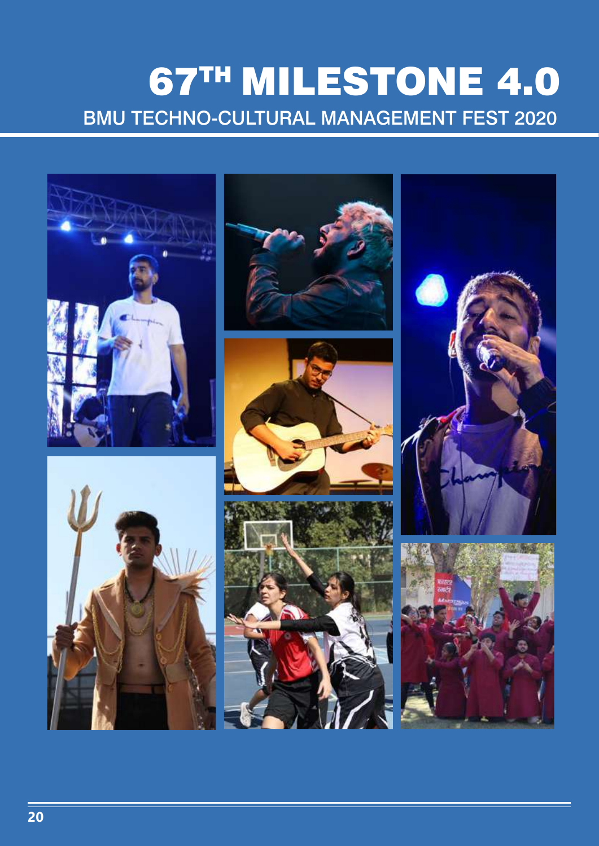### 67TH MILESTONE 4.0 BMU TECHNO-CULTURAL MANAGEMENT FEST 2020

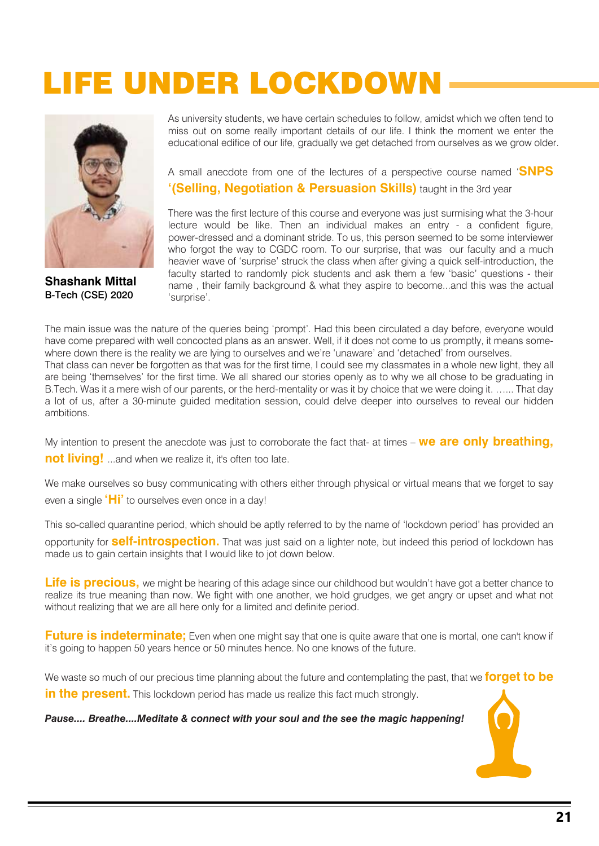### LIFE UNDER LOCKDOWN



B-Tech (CSE) 2020 **Shashank Mittal** 

As university students, we have certain schedules to follow, amidst which we often tend to miss out on some really important details of our life. I think the moment we enter the educational edifice of our life, gradually we get detached from ourselves as we grow older.

A small anecdote from one of the lectures of a perspective course named '**SNPS '(Selling, Negotiation & Persuasion Skills)** taught in the 3rd year

There was the first lecture of this course and everyone was just surmising what the 3-hour lecture would be like. Then an individual makes an entry - a confident figure, power-dressed and a dominant stride. To us, this person seemed to be some interviewer who forgot the way to CGDC room. To our surprise, that was our faculty and a much heavier wave of 'surprise' struck the class when after giving a quick self-introduction, the faculty started to randomly pick students and ask them a few 'basic' questions - their name , their family background & what they aspire to become...and this was the actual 'surprise'.

The main issue was the nature of the queries being 'prompt'. Had this been circulated a day before, everyone would have come prepared with well concocted plans as an answer. Well, if it does not come to us promptly, it means somewhere down there is the reality we are lying to ourselves and we're 'unaware' and 'detached' from ourselves. That class can never be forgotten as that was for the first time, I could see my classmates in a whole new light, they all are being 'themselves' for the first time. We all shared our stories openly as to why we all chose to be graduating in B.Tech. Was it a mere wish of our parents, or the herd-mentality or was it by choice that we were doing it. …... That day a lot of us, after a 30-minute guided meditation session, could delve deeper into ourselves to reveal our hidden ambitions.

My intention to present the anecdote was just to corroborate the fact that- at times – **we are only breathing, not living!** ...and when we realize it, it's often too late.

We make ourselves so busy communicating with others either through physical or virtual means that we forget to say even a single **'Hi'** to ourselves even once in a day!

This so-called quarantine period, which should be aptly referred to by the name of 'lockdown period' has provided an

opportunity for **self-introspection.** That was just said on a lighter note, but indeed this period of lockdown has made us to gain certain insights that I would like to jot down below.

**Life is precious,** we might be hearing of this adage since our childhood but wouldn't have got a better chance to realize its true meaning than now. We fight with one another, we hold grudges, we get angry or upset and what not without realizing that we are all here only for a limited and definite period.

**Future is indeterminate:** Even when one might say that one is quite aware that one is mortal, one can't know if it's going to happen 50 years hence or 50 minutes hence. No one knows of the future.

We waste so much of our precious time planning about the future and contemplating the past, that we **forget to be**

**in the present.** This lockdown period has made us realize this fact much strongly.

*Pause.... Breathe....Meditate & connect with your soul and the see the magic happening!*

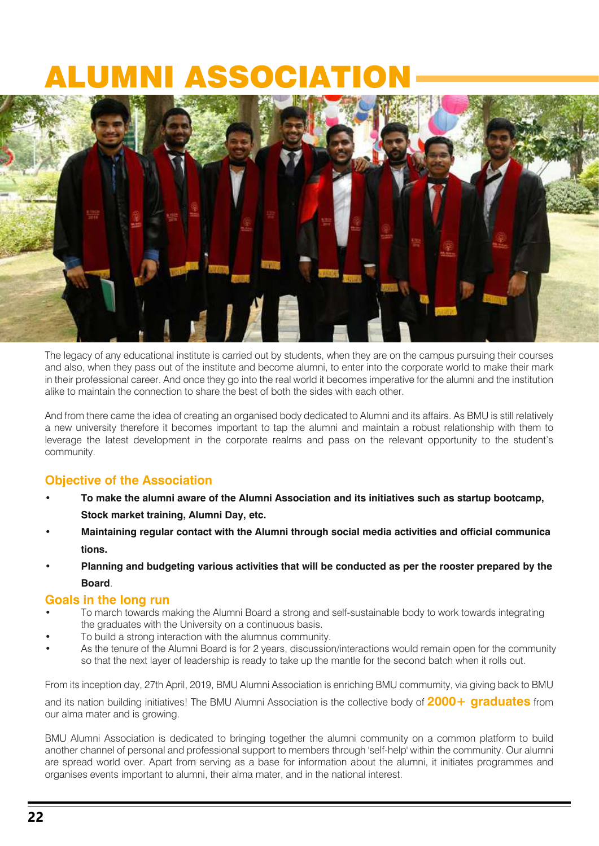### NI ASSOCIA



The legacy of any educational institute is carried out by students, when they are on the campus pursuing their courses and also, when they pass out of the institute and become alumni, to enter into the corporate world to make their mark in their professional career. And once they go into the real world it becomes imperative for the alumni and the institution alike to maintain the connection to share the best of both the sides with each other.

And from there came the idea of creating an organised body dedicated to Alumni and its affairs. As BMU is still relatively a new university therefore it becomes important to tap the alumni and maintain a robust relationship with them to leverage the latest development in the corporate realms and pass on the relevant opportunity to the student's community.

### **Objective of the Association**

- **To make the alumni aware of the Alumni Association and its initiatives such as startup bootcamp, Stock market training, Alumni Day, etc.**
- **Maintaining regular contact with the Alumni through social media activities and official communica tions.**
- **Planning and budgeting various activities that will be conducted as per the rooster prepared by the Board**.

#### **Goals in the long run**

- To march towards making the Alumni Board a strong and self-sustainable body to work towards integrating the graduates with the University on a continuous basis.
- To build a strong interaction with the alumnus community.
- As the tenure of the Alumni Board is for 2 years, discussion/interactions would remain open for the community so that the next layer of leadership is ready to take up the mantle for the second batch when it rolls out.

and its nation bailding initiative.<br>our alma mater and is growing. From its inception day, 27th April, 2019, BMU Alumni Association is enriching BMU commumity, via giving back to BMU and its nation building initiatives! The BMU Alumni Association is the collective body of **2000+ graduates** from

BMU Alumni Association is dedicated to bringing together the alumni community on a common platform to build are spread world over. Apart from serving as a base for information about the alumni, it initiates programmes and another channel of personal and professional support to members through 'self-help' within the community. Our alumni organises events important to alumni, their alma mater, and in the national interest.